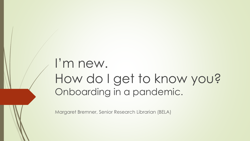## I'm new. How do I get to know you? Onboarding in a pandemic.

Margaret Bremner, Senior Research Librarian (BELA)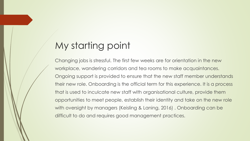### My starting point

Changing jobs is stressful. The first few weeks are for orientation in the new workplace, wandering corridors and tea rooms to make acquaintances. Ongoing support is provided to ensure that the new staff member understands their new role. Onboarding is the official term for this experience. It is a process that is used to inculcate new staff with organisational culture, provide them opportunities to meet people, establish their identity and take on the new role with oversight by managers (Keisling & Laning, 2016) . Onboarding can be difficult to do and requires good management practices.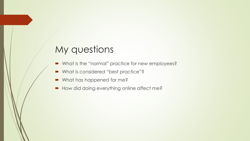#### My questions

- What is the "normal" practice for new employees?
- What is considered "best practice"?
- What has happened for me?
- How did doing everything online affect me?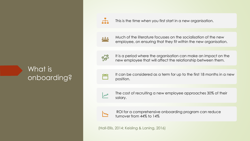#### What is onboarding?

 $\overline{a}$ 

This is the time when you first start in a new organisation.

Much of the literature focusses on the socialisation of the new employee, on ensuring that they fit within the new organisation.

SOB

It is a period where the organisation can make an impact on the new employee that will affect the relationship between them.

- $\frac{1}{2}$
- It can be considered as a term for up to the first 18 months in a new position.
- 
- The cost of recruiting a new employee approaches 30% of their salary.



ROI for a comprehensive onboarding program can reduce turnover from 44% to 14%

(Hall-Ellis, 2014; Keisling & Laning, 2016)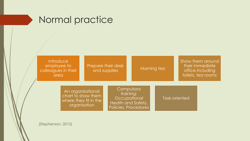#### Normal practice



(Stephenson, 2015)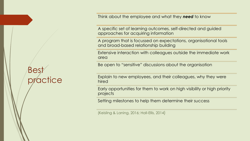Bes actice Think about the employee and what they *need* to know

A specific set of learning outcomes, self-directed and guided approaches for acquiring information

A program that is focussed on expectations, organisational tools and broad-based relationship building

Extensive interaction with colleagues outside the immediate work area

Be open to "sensitive" discussions about the organisation

Explain to new employees, and their colleagues, why they were hired

Early opportunities for them to work on high visibility or high priority projects

Setting milestones to help them determine their success

(Keisling & Laning, 2016; Hall-Ellis, 2014)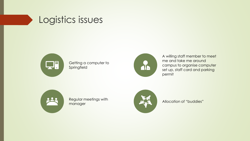



Getting a computer to Springfield



A willing staff member to meet me and take me around campus to organise computer set up, staff card and parking permit



Regular meetings with manager



Allocation of "buddies"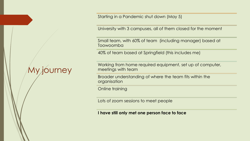My journey

Starting in a Pandemic shut down (May 5)

University with 3 campuses, all of them closed for the moment

Small team, with 60% of team (including manager) based at Toowoomba

40% of team based at Springfield (this includes me)

Working from home required equipment, set up of computer, meetings with team

Broader understanding of where the team fits within the organisation

Online training

Lots of zoom sessions to meet people

**I have still only met one person face to face**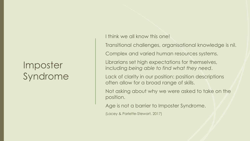#### Imposter Syndrome

I think we all know this one!

Transitional challenges, organisational knowledge is nil.

Complex and varied human resources systems.

Librarians set high expectations for themselves, including *being able to find what they need*.

Lack of clarity in our position: position descriptions often allow for a broad range of skills.

Not asking about why we were asked to take on the position.

Age is not a barrier to Imposter Syndrome.

(Lacey & Parlette-Stewart, 2017)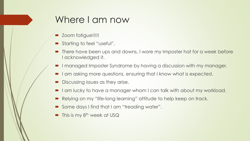#### Where I am now

- Zoom fatigue!!!!!
- Starting to feel "useful".
- There have been ups and downs, I wore my Imposter hat for a week before I acknowledged it.
- I managed Imposter Syndrome by having a discussion with my manager.
- I am asking more questions, ensuring that I know what is expected.
- Discussing issues as they arise.
- I am lucky to have a manager whom I can talk with about my workload.
- Relying on my "life-long learning" attitude to help keep on track.
- Some days I find that I am "treading water".
- This is my  $8<sup>th</sup>$  week at USQ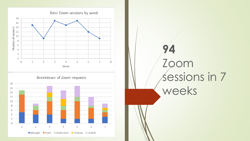

# **94** Zoom sessions in 7 weeks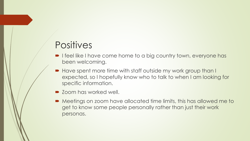#### **Positives**

- **I** feel like I have come home to a big country town, everyone has been welcoming.
- Have spent more time with staff outside my work group than I expected, so I hopefully know who to talk to when I am looking for specific information.
- Zoom has worked well.
- Meetings on zoom have allocated time limits, this has allowed me to get to know some people personally rather than just their work personas.